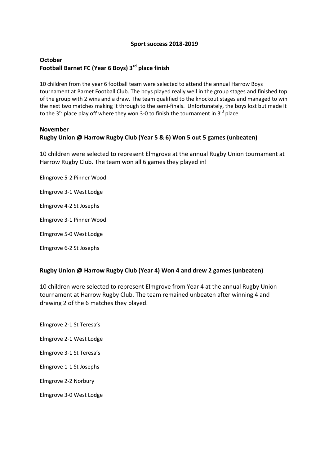#### **Sport success 2018-2019**

# **October Football Barnet FC (Year 6 Boys) 3rd place finish**

10 children from the year 6 football team were selected to attend the annual Harrow Boys tournament at Barnet Football Club. The boys played really well in the group stages and finished top of the group with 2 wins and a draw. The team qualified to the knockout stages and managed to win the next two matches making it through to the semi-finals. Unfortunately, the boys lost but made it to the 3<sup>rd</sup> place play off where they won 3-0 to finish the tournament in 3<sup>rd</sup> place

#### **November**

#### **Rugby Union @ Harrow Rugby Club (Year 5 & 6) Won 5 out 5 games (unbeaten)**

10 children were selected to represent Elmgrove at the annual Rugby Union tournament at Harrow Rugby Club. The team won all 6 games they played in!

- Elmgrove 5-2 Pinner Wood
- Elmgrove 3-1 West Lodge
- Elmgrove 4-2 St Josephs
- Elmgrove 3-1 Pinner Wood
- Elmgrove 5-0 West Lodge
- Elmgrove 6-2 St Josephs

#### **Rugby Union @ Harrow Rugby Club (Year 4) Won 4 and drew 2 games (unbeaten)**

10 children were selected to represent Elmgrove from Year 4 at the annual Rugby Union tournament at Harrow Rugby Club. The team remained unbeaten after winning 4 and drawing 2 of the 6 matches they played.

Elmgrove 2-1 St Teresa's Elmgrove 2-1 West Lodge Elmgrove 3-1 St Teresa's Elmgrove 1-1 St Josephs Elmgrove 2-2 Norbury Elmgrove 3-0 West Lodge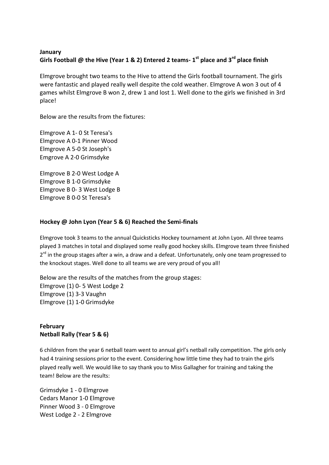## **January Girls Football @ the Hive (Year 1 & 2) Entered 2 teams- 1 st place and 3rd place finish**

Elmgrove brought two teams to the Hive to attend the Girls football tournament. The girls were fantastic and played really well despite the cold weather. Elmgrove A won 3 out of 4 games whilst Elmgrove B won 2, drew 1 and lost 1. Well done to the girls we finished in 3rd place!

Below are the results from the fixtures:

Elmgrove A 1- 0 St Teresa's Elmgrove A 0-1 Pinner Wood Elmgrove A 5-0 St Joseph's Emgrove A 2-0 Grimsdyke

Elmgrove B 2-0 West Lodge A Elmgrove B 1-0 Grimsdyke Elmgrove B 0- 3 West Lodge B Elmgrove B 0-0 St Teresa's

#### **Hockey @ John Lyon (Year 5 & 6) Reached the Semi-finals**

Elmgrove took 3 teams to the annual Quicksticks Hockey tournament at John Lyon. All three teams played 3 matches in total and displayed some really good hockey skills. Elmgrove team three finished 2<sup>rd</sup> in the group stages after a win, a draw and a defeat. Unfortunately, only one team progressed to the knockout stages. Well done to all teams we are very proud of you all!

Below are the results of the matches from the group stages: Elmgrove (1) 0- 5 West Lodge 2 Elmgrove (1) 3-3 Vaughn Elmgrove (1) 1-0 Grimsdyke

### **February Netball Rally (Year 5 & 6)**

6 children from the year 6 netball team went to annual girl's netball rally competition. The girls only had 4 training sessions prior to the event. Considering how little time they had to train the girls played really well. We would like to say thank you to Miss Gallagher for training and taking the team! Below are the results:

Grimsdyke 1 - 0 Elmgrove Cedars Manor 1-0 Elmgrove Pinner Wood 3 - 0 Elmgrove West Lodge 2 - 2 Elmgrove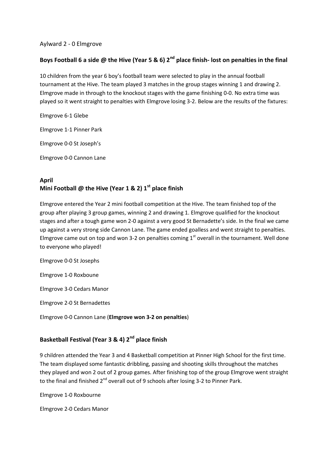#### Aylward 2 - 0 Elmgrove

### **Boys Football 6 a side @ the Hive (Year 5 & 6) 2nd place finish- lost on penalties in the final**

10 children from the year 6 boy's football team were selected to play in the annual football tournament at the Hive. The team played 3 matches in the group stages winning 1 and drawing 2. Elmgrove made in through to the knockout stages with the game finishing 0-0. No extra time was played so it went straight to penalties with Elmgrove losing 3-2. Below are the results of the fixtures:

Elmgrove 6-1 Glebe

Elmgrove 1-1 Pinner Park

Elmgrove 0-0 St Joseph's

Elmgrove 0-0 Cannon Lane

# **April Mini Football @ the Hive (Year 1 & 2) 1st place finish**

Elmgrove entered the Year 2 mini football competition at the Hive. The team finished top of the group after playing 3 group games, winning 2 and drawing 1. Elmgrove qualified for the knockout stages and after a tough game won 2-0 against a very good St Bernadette's side. In the final we came up against a very strong side Cannon Lane. The game ended goalless and went straight to penalties. Elmgrove came out on top and won 3-2 on penalties coming  $1<sup>st</sup>$  overall in the tournament. Well done to everyone who played!

Elmgrove 0-0 St Josephs

Elmgrove 1-0 Roxboune

Elmgrove 3-0 Cedars Manor

Elmgrove 2-0 St Bernadettes

Elmgrove 0-0 Cannon Lane (**Elmgrove won 3-2 on penalties**)

### **Basketball Festival (Year 3 & 4) 2nd place finish**

9 children attended the Year 3 and 4 Basketball competition at Pinner High School for the first time. The team displayed some fantastic dribbling, passing and shooting skills throughout the matches they played and won 2 out of 2 group games. After finishing top of the group Elmgrove went straight to the final and finished  $2^{nd}$  overall out of 9 schools after losing 3-2 to Pinner Park.

Elmgrove 1-0 Roxbourne

Elmgrove 2-0 Cedars Manor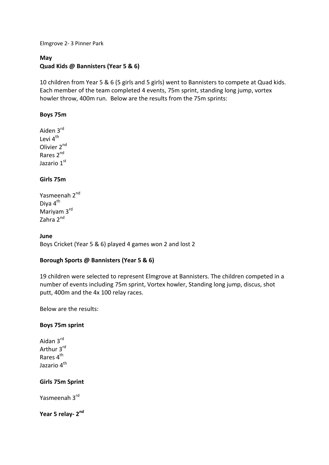Elmgrove 2- 3 Pinner Park

## **May Quad Kids @ Bannisters (Year 5 & 6)**

10 children from Year 5 & 6 (5 girls and 5 girls) went to Bannisters to compete at Quad kids. Each member of the team completed 4 events, 75m sprint, standing long jump, vortex howler throw, 400m run. Below are the results from the 75m sprints:

### **Boys 75m**

Aiden 3rd Levi 4<sup>th</sup> Olivier 2<sup>nd</sup> Rares 2nd Jazario 1st

### **Girls 75m**

Yasmeenah 2<sup>nd</sup> Diva 4<sup>th</sup> Mariyam 3rd Zahra 2<sup>nd</sup>

#### **June**

Boys Cricket (Year 5 & 6) played 4 games won 2 and lost 2

### **Borough Sports @ Bannisters (Year 5 & 6)**

19 children were selected to represent Elmgrove at Bannisters. The children competed in a number of events including 75m sprint, Vortex howler, Standing long jump, discus, shot putt, 400m and the 4x 100 relay races.

Below are the results:

#### **Boys 75m sprint**

Aidan 3rd Arthur 3rd Rares 4<sup>th</sup> Jazario 4<sup>th</sup>

#### **Girls 75m Sprint**

Yasmeenah 3rd

Year 5 relay- 2<sup>nd</sup>